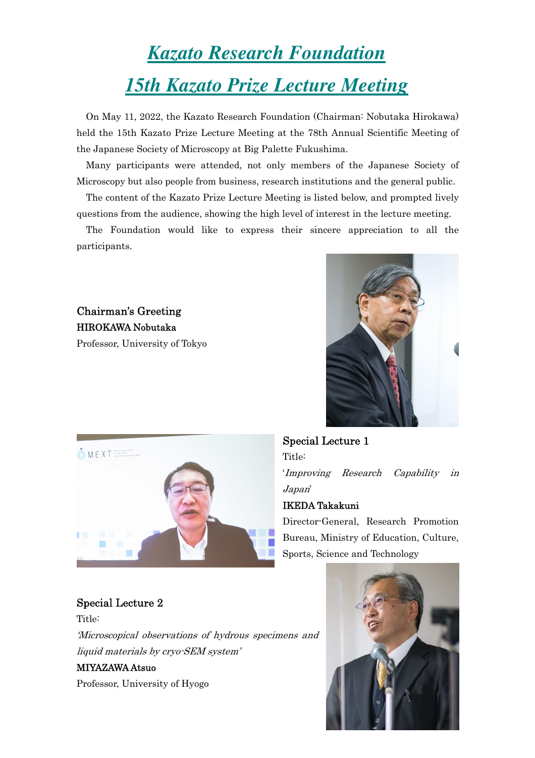# *Kazato Research Foundation 15th Kazato Prize Lecture Meeting*

On May 11, 2022, the Kazato Research Foundation (Chairman: Nobutaka Hirokawa) held the 15th Kazato Prize Lecture Meeting at the 78th Annual Scientific Meeting of the Japanese Society of Microscopy at Big Palette Fukushima.

Many participants were attended, not only members of the Japanese Society of Microscopy but also people from business, research institutions and the general public.

The content of the Kazato Prize Lecture Meeting is listed below, and prompted lively questions from the audience, showing the high level of interest in the lecture meeting.

The Foundation would like to express their sincere appreciation to all the participants.

Chairman's Greeting HIROKAWA Nobutaka Professor, University of Tokyo





Special Lecture 1 Title: 'Improving Research Capability in Japan' IKEDA Takakuni

Director-General, Research Promotion Bureau, Ministry of Education, Culture, Sports, Science and Technology

## Special Lecture 2

Title:

'Microscopical observations of hydrous specimens and liquid materials by cryo-SEM system'

### MIYAZAWA Atsuo

Professor, University of Hyogo